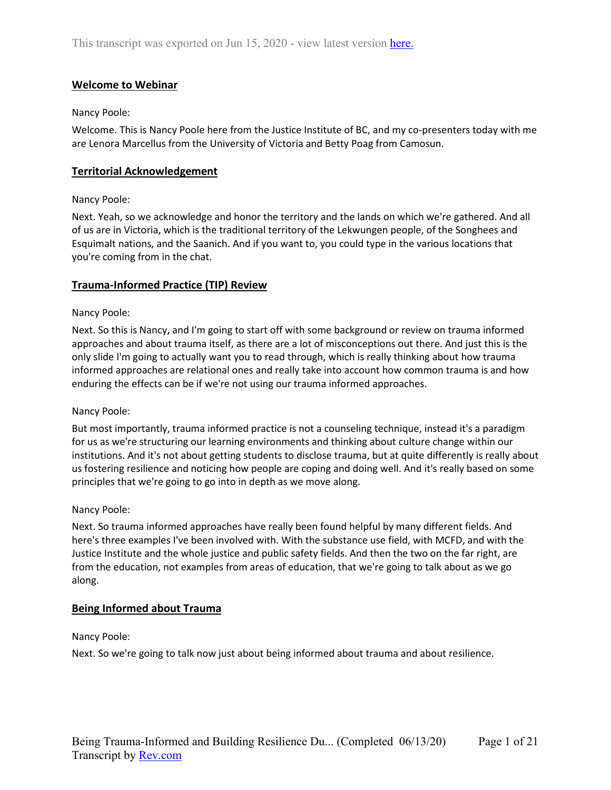# **Welcome to Webinar**

## Nancy Poole:

Welcome. This is Nancy Poole here from the Justice Institute of BC, and my co-presenters today with me are Lenora Marcellus from the University of Victoria and Betty Poag from Camosun.

## **Territorial Acknowledgement**

## Nancy Poole:

Next. Yeah, so we acknowledge and honor the territory and the lands on which we're gathered. And all of us are in Victoria, which is the traditional territory of the Lekwungen people, of the Songhees and Esquimalt nations, and the Saanich. And if you want to, you could type in the various locations that you're coming from in the chat.

## **Trauma-Informed Practice (TIP) Review**

#### Nancy Poole:

Next. So this is Nancy, and I'm going to start off with some background or review on trauma informed approaches and about trauma itself, as there are a lot of misconceptions out there. And just this is the only slide I'm going to actually want you to read through, which is really thinking about how trauma informed approaches are relational ones and really take into account how common trauma is and how enduring the effects can be if we're not using our trauma informed approaches.

#### Nancy Poole:

But most importantly, trauma informed practice is not a counseling technique, instead it's a paradigm for us as we're structuring our learning environments and thinking about culture change within our institutions. And it's not about getting students to disclose trauma, but at quite differently is really about us fostering resilience and noticing how people are coping and doing well. And it's really based on some principles that we're going to go into in depth as we move along.

#### Nancy Poole:

Next. So trauma informed approaches have really been found helpful by many different fields. And here's three examples I've been involved with. With the substance use field, with MCFD, and with the Justice Institute and the whole justice and public safety fields. And then the two on the far right, are from the education, not examples from areas of education, that we're going to talk about as we go along.

#### **Being Informed about Trauma**

Nancy Poole:

Next. So we're going to talk now just about being informed about trauma and about resilience.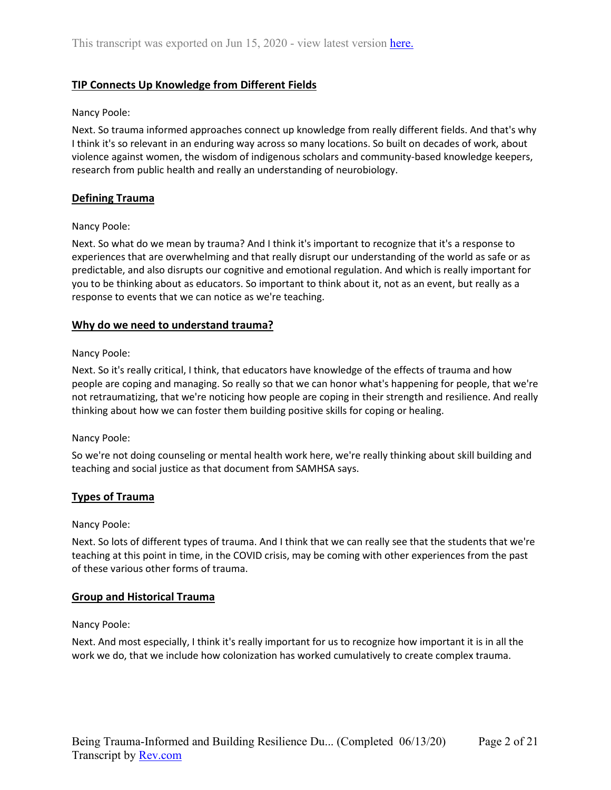# **TIP Connects Up Knowledge from Different Fields**

### Nancy Poole:

Next. So trauma informed approaches connect up knowledge from really different fields. And that's why I think it's so relevant in an enduring way across so many locations. So built on decades of work, about violence against women, the wisdom of indigenous scholars and community-based knowledge keepers, research from public health and really an understanding of neurobiology.

## **Defining Trauma**

## Nancy Poole:

Next. So what do we mean by trauma? And I think it's important to recognize that it's a response to experiences that are overwhelming and that really disrupt our understanding of the world as safe or as predictable, and also disrupts our cognitive and emotional regulation. And which is really important for you to be thinking about as educators. So important to think about it, not as an event, but really as a response to events that we can notice as we're teaching.

## **Why do we need to understand trauma?**

## Nancy Poole:

Next. So it's really critical, I think, that educators have knowledge of the effects of trauma and how people are coping and managing. So really so that we can honor what's happening for people, that we're not retraumatizing, that we're noticing how people are coping in their strength and resilience. And really thinking about how we can foster them building positive skills for coping or healing.

#### Nancy Poole:

So we're not doing counseling or mental health work here, we're really thinking about skill building and teaching and social justice as that document from SAMHSA says.

## **Types of Trauma**

#### Nancy Poole:

Next. So lots of different types of trauma. And I think that we can really see that the students that we're teaching at this point in time, in the COVID crisis, may be coming with other experiences from the past of these various other forms of trauma.

## **Group and Historical Trauma**

#### Nancy Poole:

Next. And most especially, I think it's really important for us to recognize how important it is in all the work we do, that we include how colonization has worked cumulatively to create complex trauma.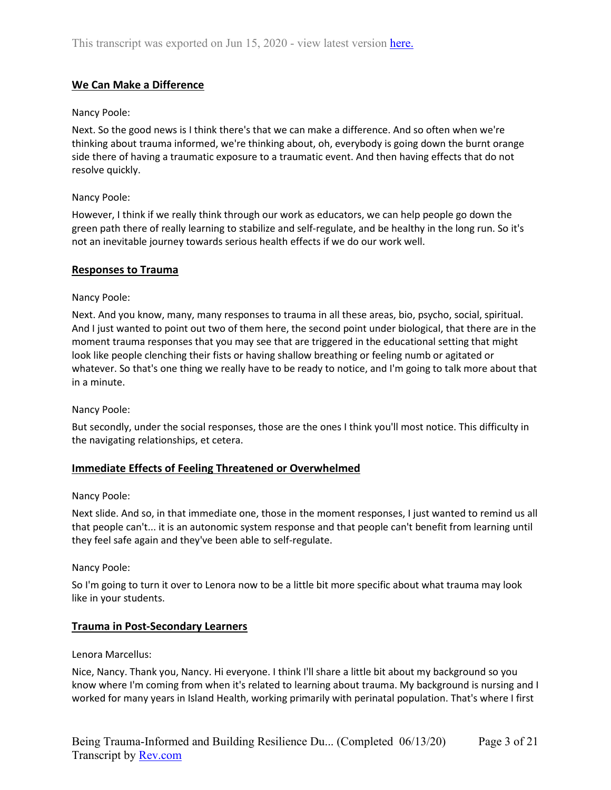# **We Can Make a Difference**

## Nancy Poole:

Next. So the good news is I think there's that we can make a difference. And so often when we're thinking about trauma informed, we're thinking about, oh, everybody is going down the burnt orange side there of having a traumatic exposure to a traumatic event. And then having effects that do not resolve quickly.

## Nancy Poole:

However, I think if we really think through our work as educators, we can help people go down the green path there of really learning to stabilize and self-regulate, and be healthy in the long run. So it's not an inevitable journey towards serious health effects if we do our work well.

## **Responses to Trauma**

## Nancy Poole:

Next. And you know, many, many responses to trauma in all these areas, bio, psycho, social, spiritual. And I just wanted to point out two of them here, the second point under biological, that there are in the moment trauma responses that you may see that are triggered in the educational setting that might look like people clenching their fists or having shallow breathing or feeling numb or agitated or whatever. So that's one thing we really have to be ready to notice, and I'm going to talk more about that in a minute.

#### Nancy Poole:

But secondly, under the social responses, those are the ones I think you'll most notice. This difficulty in the navigating relationships, et cetera.

## **Immediate Effects of Feeling Threatened or Overwhelmed**

#### Nancy Poole:

Next slide. And so, in that immediate one, those in the moment responses, I just wanted to remind us all that people can't... it is an autonomic system response and that people can't benefit from learning until they feel safe again and they've been able to self-regulate.

#### Nancy Poole:

So I'm going to turn it over to Lenora now to be a little bit more specific about what trauma may look like in your students.

#### **Trauma in Post-Secondary Learners**

#### Lenora Marcellus:

Nice, Nancy. Thank you, Nancy. Hi everyone. I think I'll share a little bit about my background so you know where I'm coming from when it's related to learning about trauma. My background is nursing and I worked for many years in Island Health, working primarily with perinatal population. That's where I first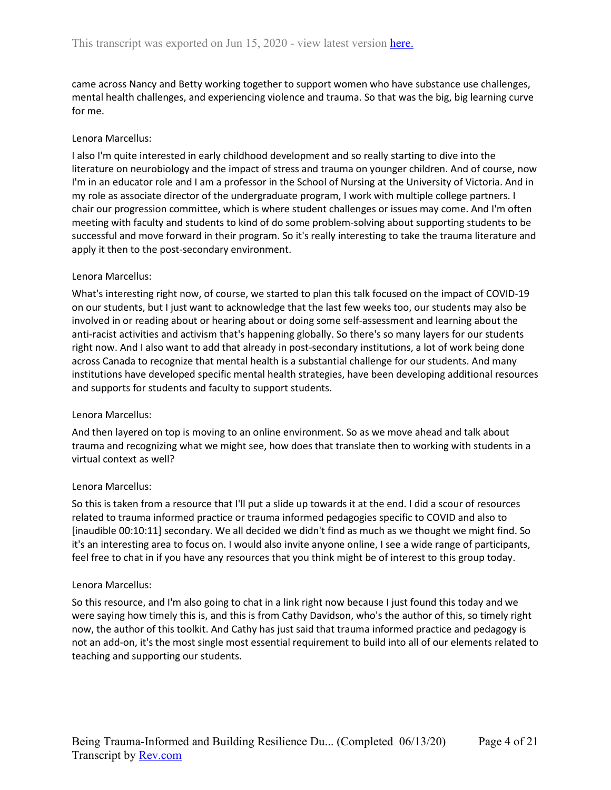came across Nancy and Betty working together to support women who have substance use challenges, mental health challenges, and experiencing violence and trauma. So that was the big, big learning curve for me.

### Lenora Marcellus:

I also I'm quite interested in early childhood development and so really starting to dive into the literature on neurobiology and the impact of stress and trauma on younger children. And of course, now I'm in an educator role and I am a professor in the School of Nursing at the University of Victoria. And in my role as associate director of the undergraduate program, I work with multiple college partners. I chair our progression committee, which is where student challenges or issues may come. And I'm often meeting with faculty and students to kind of do some problem-solving about supporting students to be successful and move forward in their program. So it's really interesting to take the trauma literature and apply it then to the post-secondary environment.

#### Lenora Marcellus:

What's interesting right now, of course, we started to plan this talk focused on the impact of COVID-19 on our students, but I just want to acknowledge that the last few weeks too, our students may also be involved in or reading about or hearing about or doing some self-assessment and learning about the anti-racist activities and activism that's happening globally. So there's so many layers for our students right now. And I also want to add that already in post-secondary institutions, a lot of work being done across Canada to recognize that mental health is a substantial challenge for our students. And many institutions have developed specific mental health strategies, have been developing additional resources and supports for students and faculty to support students.

#### Lenora Marcellus:

And then layered on top is moving to an online environment. So as we move ahead and talk about trauma and recognizing what we might see, how does that translate then to working with students in a virtual context as well?

#### Lenora Marcellus:

So this is taken from a resource that I'll put a slide up towards it at the end. I did a scour of resources related to trauma informed practice or trauma informed pedagogies specific to COVID and also to [inaudible 00:10:11] secondary. We all decided we didn't find as much as we thought we might find. So it's an interesting area to focus on. I would also invite anyone online, I see a wide range of participants, feel free to chat in if you have any resources that you think might be of interest to this group today.

#### Lenora Marcellus:

So this resource, and I'm also going to chat in a link right now because I just found this today and we were saying how timely this is, and this is from Cathy Davidson, who's the author of this, so timely right now, the author of this toolkit. And Cathy has just said that trauma informed practice and pedagogy is not an add-on, it's the most single most essential requirement to build into all of our elements related to teaching and supporting our students.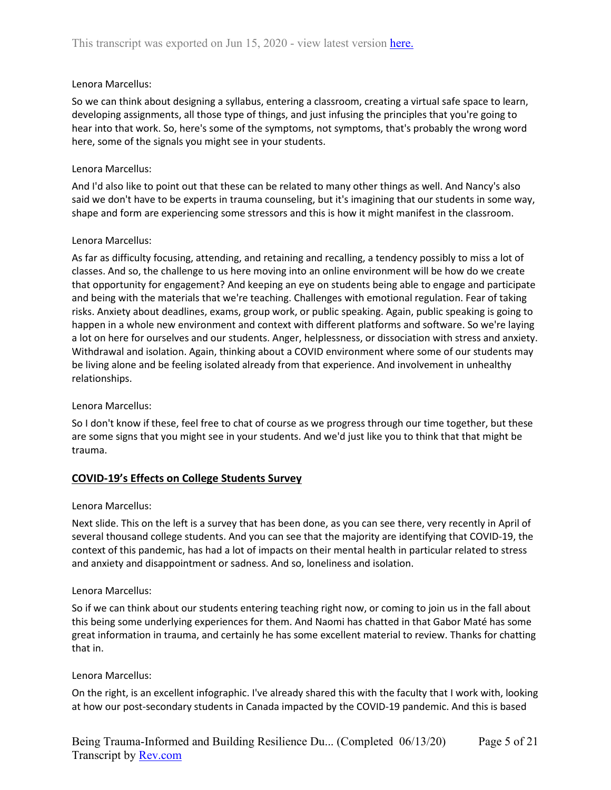So we can think about designing a syllabus, entering a classroom, creating a virtual safe space to learn, developing assignments, all those type of things, and just infusing the principles that you're going to hear into that work. So, here's some of the symptoms, not symptoms, that's probably the wrong word here, some of the signals you might see in your students.

## Lenora Marcellus:

And I'd also like to point out that these can be related to many other things as well. And Nancy's also said we don't have to be experts in trauma counseling, but it's imagining that our students in some way, shape and form are experiencing some stressors and this is how it might manifest in the classroom.

## Lenora Marcellus:

As far as difficulty focusing, attending, and retaining and recalling, a tendency possibly to miss a lot of classes. And so, the challenge to us here moving into an online environment will be how do we create that opportunity for engagement? And keeping an eye on students being able to engage and participate and being with the materials that we're teaching. Challenges with emotional regulation. Fear of taking risks. Anxiety about deadlines, exams, group work, or public speaking. Again, public speaking is going to happen in a whole new environment and context with different platforms and software. So we're laying a lot on here for ourselves and our students. Anger, helplessness, or dissociation with stress and anxiety. Withdrawal and isolation. Again, thinking about a COVID environment where some of our students may be living alone and be feeling isolated already from that experience. And involvement in unhealthy relationships.

## Lenora Marcellus:

So I don't know if these, feel free to chat of course as we progress through our time together, but these are some signs that you might see in your students. And we'd just like you to think that that might be trauma.

## **COVID-19's Effects on College Students Survey**

#### Lenora Marcellus:

Next slide. This on the left is a survey that has been done, as you can see there, very recently in April of several thousand college students. And you can see that the majority are identifying that COVID-19, the context of this pandemic, has had a lot of impacts on their mental health in particular related to stress and anxiety and disappointment or sadness. And so, loneliness and isolation.

#### Lenora Marcellus:

So if we can think about our students entering teaching right now, or coming to join us in the fall about this being some underlying experiences for them. And Naomi has chatted in that Gabor Maté has some great information in trauma, and certainly he has some excellent material to review. Thanks for chatting that in.

#### Lenora Marcellus:

On the right, is an excellent infographic. I've already shared this with the faculty that I work with, looking at how our post-secondary students in Canada impacted by the COVID-19 pandemic. And this is based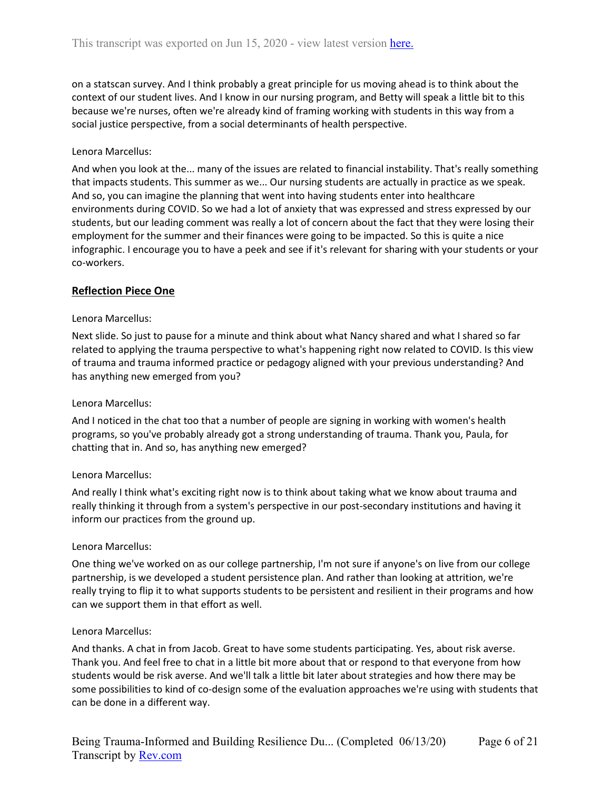on a statscan survey. And I think probably a great principle for us moving ahead is to think about the context of our student lives. And I know in our nursing program, and Betty will speak a little bit to this because we're nurses, often we're already kind of framing working with students in this way from a social justice perspective, from a social determinants of health perspective.

### Lenora Marcellus:

And when you look at the... many of the issues are related to financial instability. That's really something that impacts students. This summer as we... Our nursing students are actually in practice as we speak. And so, you can imagine the planning that went into having students enter into healthcare environments during COVID. So we had a lot of anxiety that was expressed and stress expressed by our students, but our leading comment was really a lot of concern about the fact that they were losing their employment for the summer and their finances were going to be impacted. So this is quite a nice infographic. I encourage you to have a peek and see if it's relevant for sharing with your students or your co-workers.

## **Reflection Piece One**

#### Lenora Marcellus:

Next slide. So just to pause for a minute and think about what Nancy shared and what I shared so far related to applying the trauma perspective to what's happening right now related to COVID. Is this view of trauma and trauma informed practice or pedagogy aligned with your previous understanding? And has anything new emerged from you?

#### Lenora Marcellus:

And I noticed in the chat too that a number of people are signing in working with women's health programs, so you've probably already got a strong understanding of trauma. Thank you, Paula, for chatting that in. And so, has anything new emerged?

#### Lenora Marcellus:

And really I think what's exciting right now is to think about taking what we know about trauma and really thinking it through from a system's perspective in our post-secondary institutions and having it inform our practices from the ground up.

#### Lenora Marcellus:

One thing we've worked on as our college partnership, I'm not sure if anyone's on live from our college partnership, is we developed a student persistence plan. And rather than looking at attrition, we're really trying to flip it to what supports students to be persistent and resilient in their programs and how can we support them in that effort as well.

#### Lenora Marcellus:

And thanks. A chat in from Jacob. Great to have some students participating. Yes, about risk averse. Thank you. And feel free to chat in a little bit more about that or respond to that everyone from how students would be risk averse. And we'll talk a little bit later about strategies and how there may be some possibilities to kind of co-design some of the evaluation approaches we're using with students that can be done in a different way.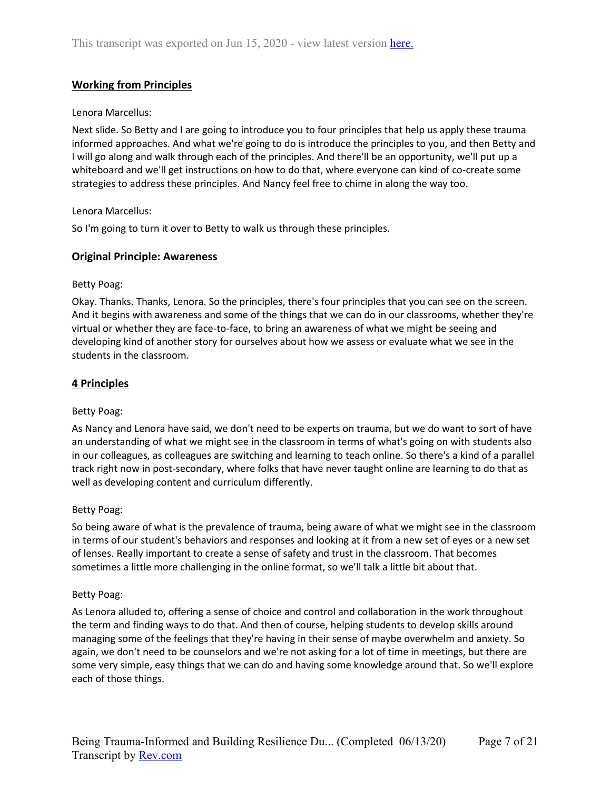# **Working from Principles**

## Lenora Marcellus:

Next slide. So Betty and I are going to introduce you to four principles that help us apply these trauma informed approaches. And what we're going to do is introduce the principles to you, and then Betty and I will go along and walk through each of the principles. And there'll be an opportunity, we'll put up a whiteboard and we'll get instructions on how to do that, where everyone can kind of co-create some strategies to address these principles. And Nancy feel free to chime in along the way too.

## Lenora Marcellus:

So I'm going to turn it over to Betty to walk us through these principles.

## **Original Principle: Awareness**

#### Betty Poag:

Okay. Thanks. Thanks, Lenora. So the principles, there's four principles that you can see on the screen. And it begins with awareness and some of the things that we can do in our classrooms, whether they're virtual or whether they are face-to-face, to bring an awareness of what we might be seeing and developing kind of another story for ourselves about how we assess or evaluate what we see in the students in the classroom.

## **4 Principles**

#### Betty Poag:

As Nancy and Lenora have said, we don't need to be experts on trauma, but we do want to sort of have an understanding of what we might see in the classroom in terms of what's going on with students also in our colleagues, as colleagues are switching and learning to teach online. So there's a kind of a parallel track right now in post-secondary, where folks that have never taught online are learning to do that as well as developing content and curriculum differently.

#### Betty Poag:

So being aware of what is the prevalence of trauma, being aware of what we might see in the classroom in terms of our student's behaviors and responses and looking at it from a new set of eyes or a new set of lenses. Really important to create a sense of safety and trust in the classroom. That becomes sometimes a little more challenging in the online format, so we'll talk a little bit about that.

#### Betty Poag:

As Lenora alluded to, offering a sense of choice and control and collaboration in the work throughout the term and finding ways to do that. And then of course, helping students to develop skills around managing some of the feelings that they're having in their sense of maybe overwhelm and anxiety. So again, we don't need to be counselors and we're not asking for a lot of time in meetings, but there are some very simple, easy things that we can do and having some knowledge around that. So we'll explore each of those things.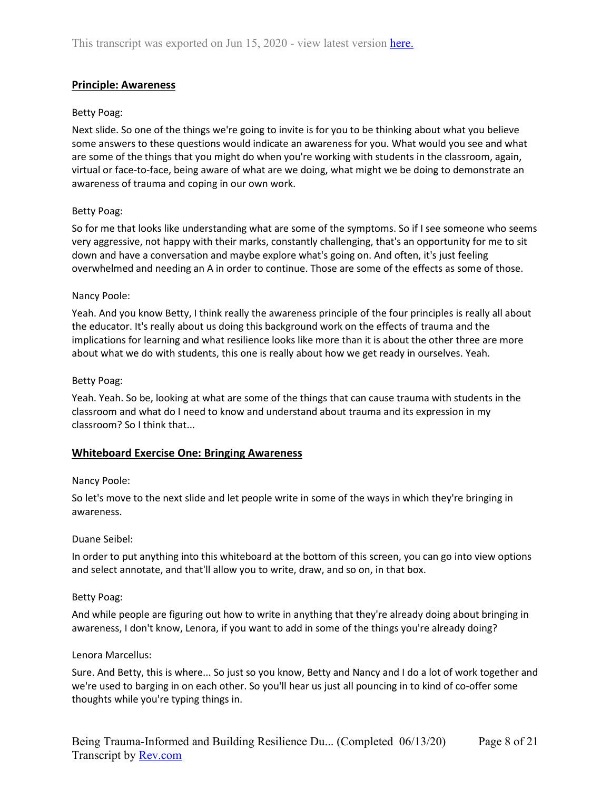# **Principle: Awareness**

## Betty Poag:

Next slide. So one of the things we're going to invite is for you to be thinking about what you believe some answers to these questions would indicate an awareness for you. What would you see and what are some of the things that you might do when you're working with students in the classroom, again, virtual or face-to-face, being aware of what are we doing, what might we be doing to demonstrate an awareness of trauma and coping in our own work.

## Betty Poag:

So for me that looks like understanding what are some of the symptoms. So if I see someone who seems very aggressive, not happy with their marks, constantly challenging, that's an opportunity for me to sit down and have a conversation and maybe explore what's going on. And often, it's just feeling overwhelmed and needing an A in order to continue. Those are some of the effects as some of those.

#### Nancy Poole:

Yeah. And you know Betty, I think really the awareness principle of the four principles is really all about the educator. It's really about us doing this background work on the effects of trauma and the implications for learning and what resilience looks like more than it is about the other three are more about what we do with students, this one is really about how we get ready in ourselves. Yeah.

## Betty Poag:

Yeah. Yeah. So be, looking at what are some of the things that can cause trauma with students in the classroom and what do I need to know and understand about trauma and its expression in my classroom? So I think that...

## **Whiteboard Exercise One: Bringing Awareness**

#### Nancy Poole:

So let's move to the next slide and let people write in some of the ways in which they're bringing in awareness.

#### Duane Seibel:

In order to put anything into this whiteboard at the bottom of this screen, you can go into view options and select annotate, and that'll allow you to write, draw, and so on, in that box.

#### Betty Poag:

And while people are figuring out how to write in anything that they're already doing about bringing in awareness, I don't know, Lenora, if you want to add in some of the things you're already doing?

#### Lenora Marcellus:

Sure. And Betty, this is where... So just so you know, Betty and Nancy and I do a lot of work together and we're used to barging in on each other. So you'll hear us just all pouncing in to kind of co-offer some thoughts while you're typing things in.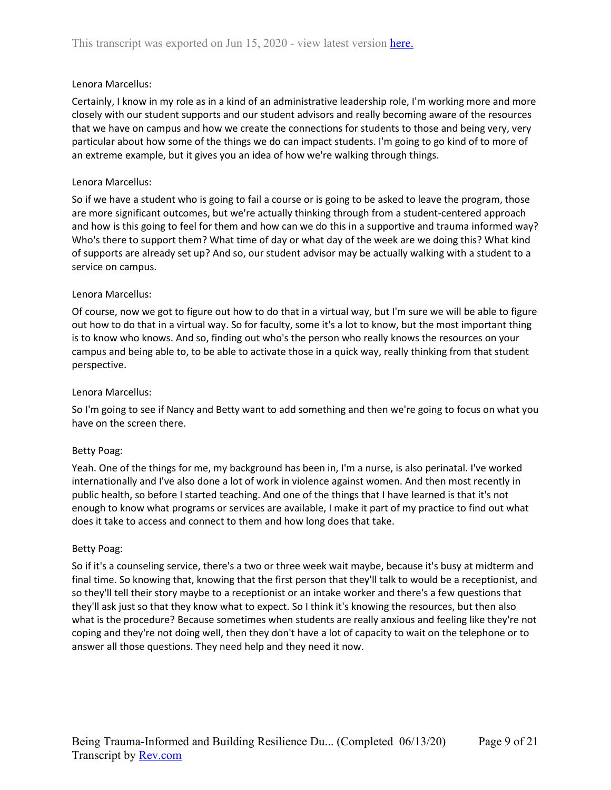Certainly, I know in my role as in a kind of an administrative leadership role, I'm working more and more closely with our student supports and our student advisors and really becoming aware of the resources that we have on campus and how we create the connections for students to those and being very, very particular about how some of the things we do can impact students. I'm going to go kind of to more of an extreme example, but it gives you an idea of how we're walking through things.

### Lenora Marcellus:

So if we have a student who is going to fail a course or is going to be asked to leave the program, those are more significant outcomes, but we're actually thinking through from a student-centered approach and how is this going to feel for them and how can we do this in a supportive and trauma informed way? Who's there to support them? What time of day or what day of the week are we doing this? What kind of supports are already set up? And so, our student advisor may be actually walking with a student to a service on campus.

## Lenora Marcellus:

Of course, now we got to figure out how to do that in a virtual way, but I'm sure we will be able to figure out how to do that in a virtual way. So for faculty, some it's a lot to know, but the most important thing is to know who knows. And so, finding out who's the person who really knows the resources on your campus and being able to, to be able to activate those in a quick way, really thinking from that student perspective.

#### Lenora Marcellus:

So I'm going to see if Nancy and Betty want to add something and then we're going to focus on what you have on the screen there.

#### Betty Poag:

Yeah. One of the things for me, my background has been in, I'm a nurse, is also perinatal. I've worked internationally and I've also done a lot of work in violence against women. And then most recently in public health, so before I started teaching. And one of the things that I have learned is that it's not enough to know what programs or services are available, I make it part of my practice to find out what does it take to access and connect to them and how long does that take.

#### Betty Poag:

So if it's a counseling service, there's a two or three week wait maybe, because it's busy at midterm and final time. So knowing that, knowing that the first person that they'll talk to would be a receptionist, and so they'll tell their story maybe to a receptionist or an intake worker and there's a few questions that they'll ask just so that they know what to expect. So I think it's knowing the resources, but then also what is the procedure? Because sometimes when students are really anxious and feeling like they're not coping and they're not doing well, then they don't have a lot of capacity to wait on the telephone or to answer all those questions. They need help and they need it now.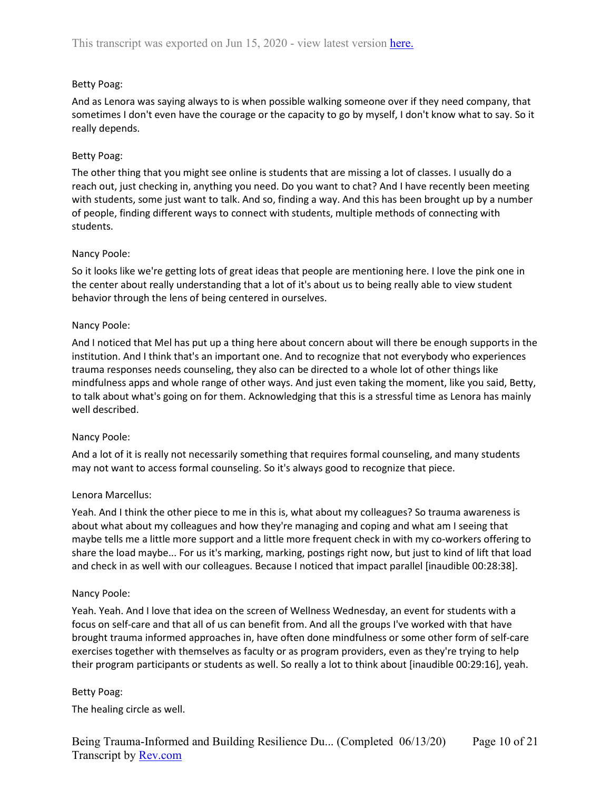# Betty Poag:

And as Lenora was saying always to is when possible walking someone over if they need company, that sometimes I don't even have the courage or the capacity to go by myself, I don't know what to say. So it really depends.

## Betty Poag:

The other thing that you might see online is students that are missing a lot of classes. I usually do a reach out, just checking in, anything you need. Do you want to chat? And I have recently been meeting with students, some just want to talk. And so, finding a way. And this has been brought up by a number of people, finding different ways to connect with students, multiple methods of connecting with students.

## Nancy Poole:

So it looks like we're getting lots of great ideas that people are mentioning here. I love the pink one in the center about really understanding that a lot of it's about us to being really able to view student behavior through the lens of being centered in ourselves.

# Nancy Poole:

And I noticed that Mel has put up a thing here about concern about will there be enough supports in the institution. And I think that's an important one. And to recognize that not everybody who experiences trauma responses needs counseling, they also can be directed to a whole lot of other things like mindfulness apps and whole range of other ways. And just even taking the moment, like you said, Betty, to talk about what's going on for them. Acknowledging that this is a stressful time as Lenora has mainly well described.

## Nancy Poole:

And a lot of it is really not necessarily something that requires formal counseling, and many students may not want to access formal counseling. So it's always good to recognize that piece.

## Lenora Marcellus:

Yeah. And I think the other piece to me in this is, what about my colleagues? So trauma awareness is about what about my colleagues and how they're managing and coping and what am I seeing that maybe tells me a little more support and a little more frequent check in with my co-workers offering to share the load maybe... For us it's marking, marking, postings right now, but just to kind of lift that load and check in as well with our colleagues. Because I noticed that impact parallel [inaudible 00:28:38].

## Nancy Poole:

Yeah. Yeah. And I love that idea on the screen of Wellness Wednesday, an event for students with a focus on self-care and that all of us can benefit from. And all the groups I've worked with that have brought trauma informed approaches in, have often done mindfulness or some other form of self-care exercises together with themselves as faculty or as program providers, even as they're trying to help their program participants or students as well. So really a lot to think about [inaudible 00:29:16], yeah.

## Betty Poag:

The healing circle as well.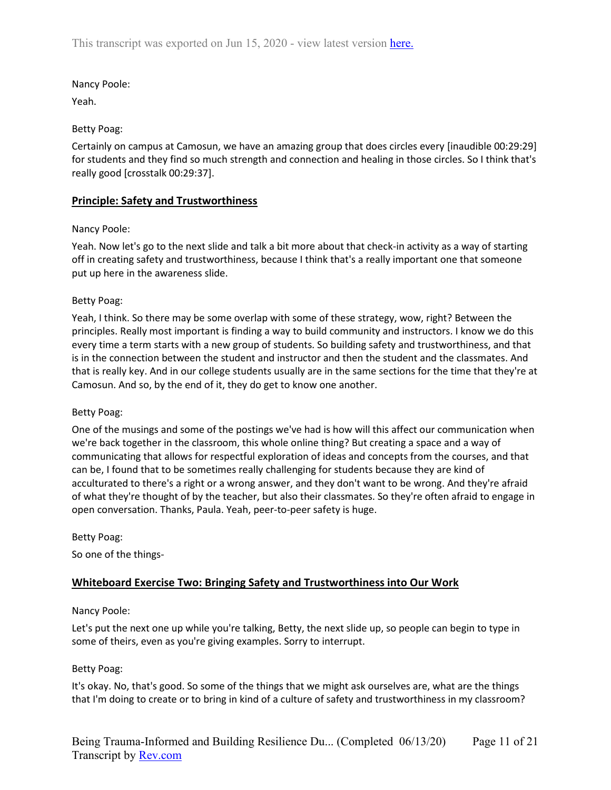## Nancy Poole:

Yeah.

## Betty Poag:

Certainly on campus at Camosun, we have an amazing group that does circles every [inaudible 00:29:29] for students and they find so much strength and connection and healing in those circles. So I think that's really good [crosstalk 00:29:37].

## **Principle: Safety and Trustworthiness**

## Nancy Poole:

Yeah. Now let's go to the next slide and talk a bit more about that check-in activity as a way of starting off in creating safety and trustworthiness, because I think that's a really important one that someone put up here in the awareness slide.

## Betty Poag:

Yeah, I think. So there may be some overlap with some of these strategy, wow, right? Between the principles. Really most important is finding a way to build community and instructors. I know we do this every time a term starts with a new group of students. So building safety and trustworthiness, and that is in the connection between the student and instructor and then the student and the classmates. And that is really key. And in our college students usually are in the same sections for the time that they're at Camosun. And so, by the end of it, they do get to know one another.

#### Betty Poag:

One of the musings and some of the postings we've had is how will this affect our communication when we're back together in the classroom, this whole online thing? But creating a space and a way of communicating that allows for respectful exploration of ideas and concepts from the courses, and that can be, I found that to be sometimes really challenging for students because they are kind of acculturated to there's a right or a wrong answer, and they don't want to be wrong. And they're afraid of what they're thought of by the teacher, but also their classmates. So they're often afraid to engage in open conversation. Thanks, Paula. Yeah, peer-to-peer safety is huge.

#### Betty Poag:

So one of the things-

## **Whiteboard Exercise Two: Bringing Safety and Trustworthiness into Our Work**

#### Nancy Poole:

Let's put the next one up while you're talking, Betty, the next slide up, so people can begin to type in some of theirs, even as you're giving examples. Sorry to interrupt.

## Betty Poag:

It's okay. No, that's good. So some of the things that we might ask ourselves are, what are the things that I'm doing to create or to bring in kind of a culture of safety and trustworthiness in my classroom?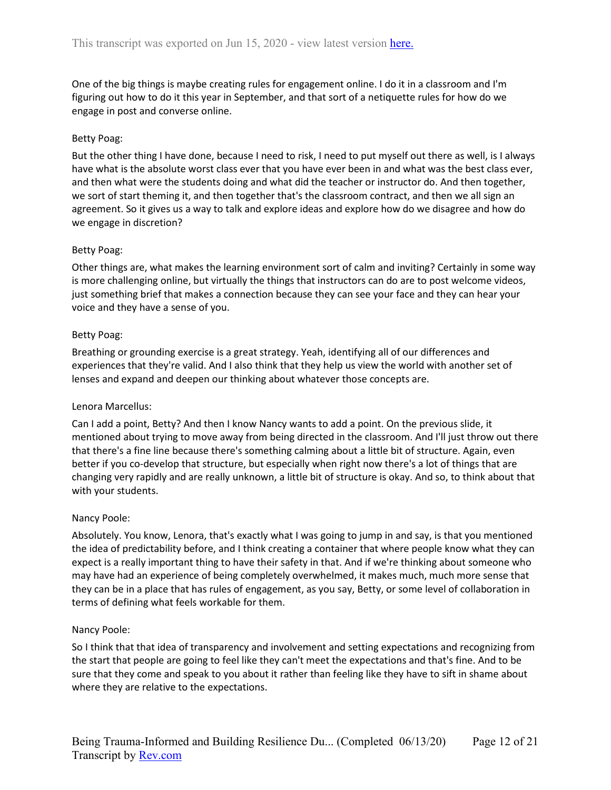One of the big things is maybe creating rules for engagement online. I do it in a classroom and I'm figuring out how to do it this year in September, and that sort of a netiquette rules for how do we engage in post and converse online.

## Betty Poag:

But the other thing I have done, because I need to risk, I need to put myself out there as well, is I always have what is the absolute worst class ever that you have ever been in and what was the best class ever, and then what were the students doing and what did the teacher or instructor do. And then together, we sort of start theming it, and then together that's the classroom contract, and then we all sign an agreement. So it gives us a way to talk and explore ideas and explore how do we disagree and how do we engage in discretion?

## Betty Poag:

Other things are, what makes the learning environment sort of calm and inviting? Certainly in some way is more challenging online, but virtually the things that instructors can do are to post welcome videos, just something brief that makes a connection because they can see your face and they can hear your voice and they have a sense of you.

## Betty Poag:

Breathing or grounding exercise is a great strategy. Yeah, identifying all of our differences and experiences that they're valid. And I also think that they help us view the world with another set of lenses and expand and deepen our thinking about whatever those concepts are.

#### Lenora Marcellus:

Can I add a point, Betty? And then I know Nancy wants to add a point. On the previous slide, it mentioned about trying to move away from being directed in the classroom. And I'll just throw out there that there's a fine line because there's something calming about a little bit of structure. Again, even better if you co-develop that structure, but especially when right now there's a lot of things that are changing very rapidly and are really unknown, a little bit of structure is okay. And so, to think about that with your students.

#### Nancy Poole:

Absolutely. You know, Lenora, that's exactly what I was going to jump in and say, is that you mentioned the idea of predictability before, and I think creating a container that where people know what they can expect is a really important thing to have their safety in that. And if we're thinking about someone who may have had an experience of being completely overwhelmed, it makes much, much more sense that they can be in a place that has rules of engagement, as you say, Betty, or some level of collaboration in terms of defining what feels workable for them.

#### Nancy Poole:

So I think that that idea of transparency and involvement and setting expectations and recognizing from the start that people are going to feel like they can't meet the expectations and that's fine. And to be sure that they come and speak to you about it rather than feeling like they have to sift in shame about where they are relative to the expectations.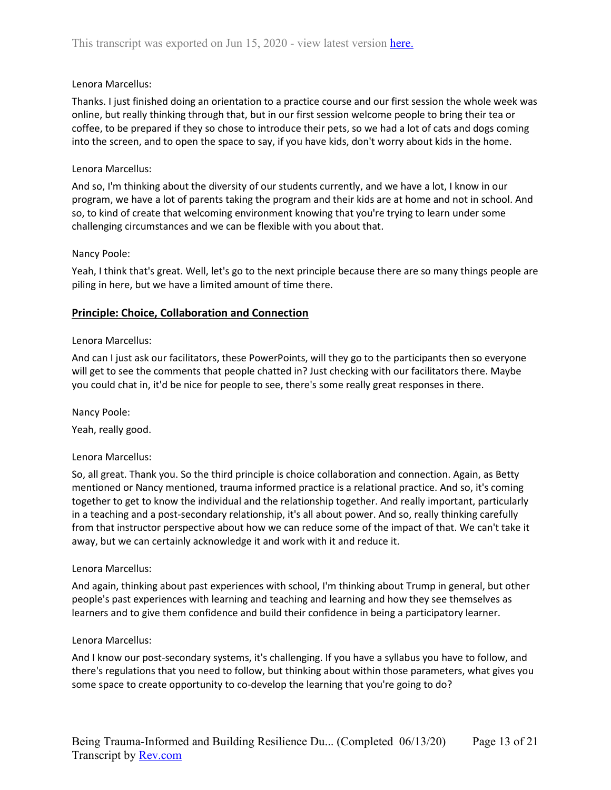Thanks. I just finished doing an orientation to a practice course and our first session the whole week was online, but really thinking through that, but in our first session welcome people to bring their tea or coffee, to be prepared if they so chose to introduce their pets, so we had a lot of cats and dogs coming into the screen, and to open the space to say, if you have kids, don't worry about kids in the home.

## Lenora Marcellus:

And so, I'm thinking about the diversity of our students currently, and we have a lot, I know in our program, we have a lot of parents taking the program and their kids are at home and not in school. And so, to kind of create that welcoming environment knowing that you're trying to learn under some challenging circumstances and we can be flexible with you about that.

## Nancy Poole:

Yeah, I think that's great. Well, let's go to the next principle because there are so many things people are piling in here, but we have a limited amount of time there.

## **Principle: Choice, Collaboration and Connection**

## Lenora Marcellus:

And can I just ask our facilitators, these PowerPoints, will they go to the participants then so everyone will get to see the comments that people chatted in? Just checking with our facilitators there. Maybe you could chat in, it'd be nice for people to see, there's some really great responses in there.

Nancy Poole:

Yeah, really good.

#### Lenora Marcellus:

So, all great. Thank you. So the third principle is choice collaboration and connection. Again, as Betty mentioned or Nancy mentioned, trauma informed practice is a relational practice. And so, it's coming together to get to know the individual and the relationship together. And really important, particularly in a teaching and a post-secondary relationship, it's all about power. And so, really thinking carefully from that instructor perspective about how we can reduce some of the impact of that. We can't take it away, but we can certainly acknowledge it and work with it and reduce it.

#### Lenora Marcellus:

And again, thinking about past experiences with school, I'm thinking about Trump in general, but other people's past experiences with learning and teaching and learning and how they see themselves as learners and to give them confidence and build their confidence in being a participatory learner.

#### Lenora Marcellus:

And I know our post-secondary systems, it's challenging. If you have a syllabus you have to follow, and there's regulations that you need to follow, but thinking about within those parameters, what gives you some space to create opportunity to co-develop the learning that you're going to do?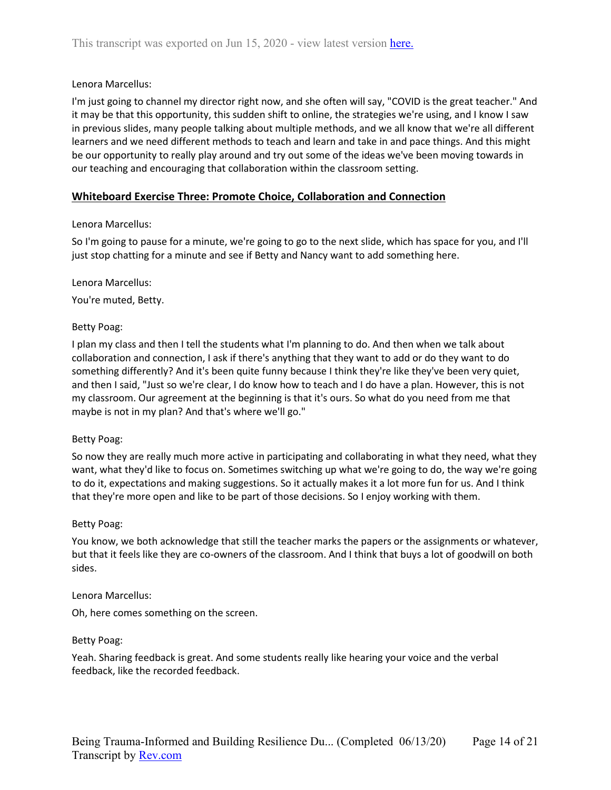I'm just going to channel my director right now, and she often will say, "COVID is the great teacher." And it may be that this opportunity, this sudden shift to online, the strategies we're using, and I know I saw in previous slides, many people talking about multiple methods, and we all know that we're all different learners and we need different methods to teach and learn and take in and pace things. And this might be our opportunity to really play around and try out some of the ideas we've been moving towards in our teaching and encouraging that collaboration within the classroom setting.

## **Whiteboard Exercise Three: Promote Choice, Collaboration and Connection**

## Lenora Marcellus:

So I'm going to pause for a minute, we're going to go to the next slide, which has space for you, and I'll just stop chatting for a minute and see if Betty and Nancy want to add something here.

#### Lenora Marcellus:

You're muted, Betty.

#### Betty Poag:

I plan my class and then I tell the students what I'm planning to do. And then when we talk about collaboration and connection, I ask if there's anything that they want to add or do they want to do something differently? And it's been quite funny because I think they're like they've been very quiet, and then I said, "Just so we're clear, I do know how to teach and I do have a plan. However, this is not my classroom. Our agreement at the beginning is that it's ours. So what do you need from me that maybe is not in my plan? And that's where we'll go."

#### Betty Poag:

So now they are really much more active in participating and collaborating in what they need, what they want, what they'd like to focus on. Sometimes switching up what we're going to do, the way we're going to do it, expectations and making suggestions. So it actually makes it a lot more fun for us. And I think that they're more open and like to be part of those decisions. So I enjoy working with them.

#### Betty Poag:

You know, we both acknowledge that still the teacher marks the papers or the assignments or whatever, but that it feels like they are co-owners of the classroom. And I think that buys a lot of goodwill on both sides.

#### Lenora Marcellus:

Oh, here comes something on the screen.

#### Betty Poag:

Yeah. Sharing feedback is great. And some students really like hearing your voice and the verbal feedback, like the recorded feedback.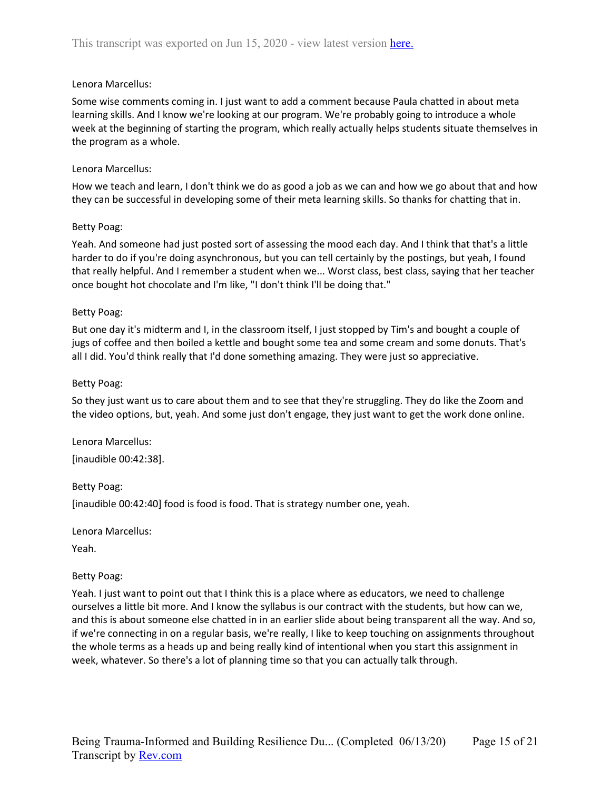Some wise comments coming in. I just want to add a comment because Paula chatted in about meta learning skills. And I know we're looking at our program. We're probably going to introduce a whole week at the beginning of starting the program, which really actually helps students situate themselves in the program as a whole.

### Lenora Marcellus:

How we teach and learn, I don't think we do as good a job as we can and how we go about that and how they can be successful in developing some of their meta learning skills. So thanks for chatting that in.

## Betty Poag:

Yeah. And someone had just posted sort of assessing the mood each day. And I think that that's a little harder to do if you're doing asynchronous, but you can tell certainly by the postings, but yeah, I found that really helpful. And I remember a student when we... Worst class, best class, saying that her teacher once bought hot chocolate and I'm like, "I don't think I'll be doing that."

## Betty Poag:

But one day it's midterm and I, in the classroom itself, I just stopped by Tim's and bought a couple of jugs of coffee and then boiled a kettle and bought some tea and some cream and some donuts. That's all I did. You'd think really that I'd done something amazing. They were just so appreciative.

## Betty Poag:

So they just want us to care about them and to see that they're struggling. They do like the Zoom and the video options, but, yeah. And some just don't engage, they just want to get the work done online.

Lenora Marcellus: [inaudible 00:42:38].

Betty Poag:

[inaudible 00:42:40] food is food is food. That is strategy number one, yeah.

Lenora Marcellus:

Yeah.

#### Betty Poag:

Yeah. I just want to point out that I think this is a place where as educators, we need to challenge ourselves a little bit more. And I know the syllabus is our contract with the students, but how can we, and this is about someone else chatted in in an earlier slide about being transparent all the way. And so, if we're connecting in on a regular basis, we're really, I like to keep touching on assignments throughout the whole terms as a heads up and being really kind of intentional when you start this assignment in week, whatever. So there's a lot of planning time so that you can actually talk through.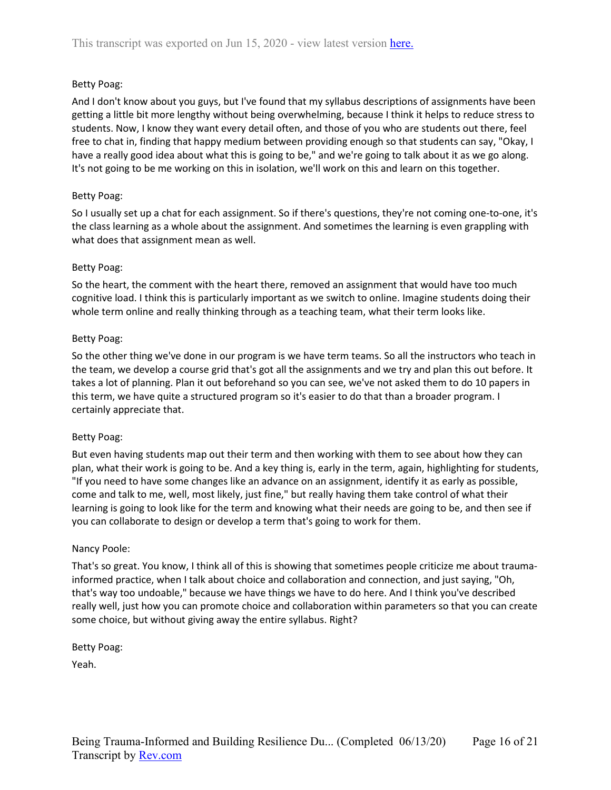# Betty Poag:

And I don't know about you guys, but I've found that my syllabus descriptions of assignments have been getting a little bit more lengthy without being overwhelming, because I think it helps to reduce stress to students. Now, I know they want every detail often, and those of you who are students out there, feel free to chat in, finding that happy medium between providing enough so that students can say, "Okay, I have a really good idea about what this is going to be," and we're going to talk about it as we go along. It's not going to be me working on this in isolation, we'll work on this and learn on this together.

## Betty Poag:

So I usually set up a chat for each assignment. So if there's questions, they're not coming one-to-one, it's the class learning as a whole about the assignment. And sometimes the learning is even grappling with what does that assignment mean as well.

## Betty Poag:

So the heart, the comment with the heart there, removed an assignment that would have too much cognitive load. I think this is particularly important as we switch to online. Imagine students doing their whole term online and really thinking through as a teaching team, what their term looks like.

## Betty Poag:

So the other thing we've done in our program is we have term teams. So all the instructors who teach in the team, we develop a course grid that's got all the assignments and we try and plan this out before. It takes a lot of planning. Plan it out beforehand so you can see, we've not asked them to do 10 papers in this term, we have quite a structured program so it's easier to do that than a broader program. I certainly appreciate that.

#### Betty Poag:

But even having students map out their term and then working with them to see about how they can plan, what their work is going to be. And a key thing is, early in the term, again, highlighting for students, "If you need to have some changes like an advance on an assignment, identify it as early as possible, come and talk to me, well, most likely, just fine," but really having them take control of what their learning is going to look like for the term and knowing what their needs are going to be, and then see if you can collaborate to design or develop a term that's going to work for them.

#### Nancy Poole:

That's so great. You know, I think all of this is showing that sometimes people criticize me about traumainformed practice, when I talk about choice and collaboration and connection, and just saying, "Oh, that's way too undoable," because we have things we have to do here. And I think you've described really well, just how you can promote choice and collaboration within parameters so that you can create some choice, but without giving away the entire syllabus. Right?

Betty Poag:

Yeah.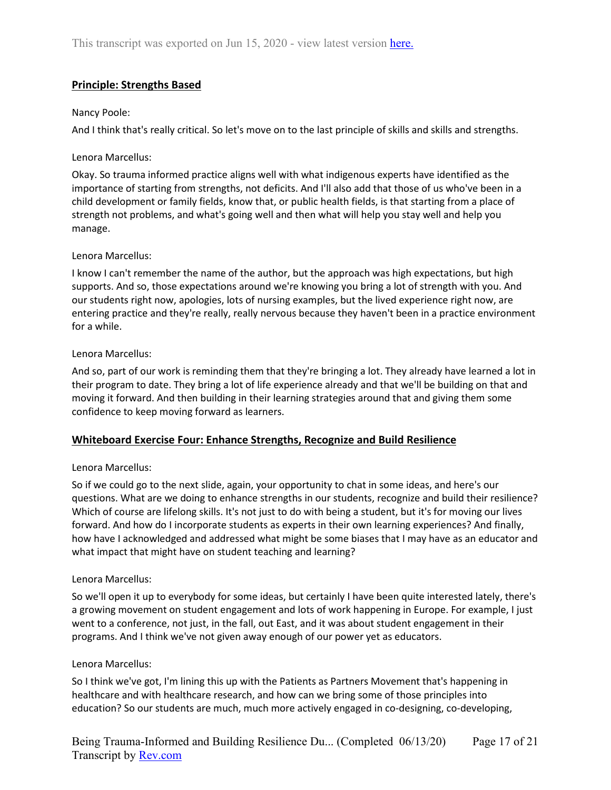# **Principle: Strengths Based**

## Nancy Poole:

And I think that's really critical. So let's move on to the last principle of skills and skills and strengths.

### Lenora Marcellus:

Okay. So trauma informed practice aligns well with what indigenous experts have identified as the importance of starting from strengths, not deficits. And I'll also add that those of us who've been in a child development or family fields, know that, or public health fields, is that starting from a place of strength not problems, and what's going well and then what will help you stay well and help you manage.

## Lenora Marcellus:

I know I can't remember the name of the author, but the approach was high expectations, but high supports. And so, those expectations around we're knowing you bring a lot of strength with you. And our students right now, apologies, lots of nursing examples, but the lived experience right now, are entering practice and they're really, really nervous because they haven't been in a practice environment for a while.

## Lenora Marcellus:

And so, part of our work is reminding them that they're bringing a lot. They already have learned a lot in their program to date. They bring a lot of life experience already and that we'll be building on that and moving it forward. And then building in their learning strategies around that and giving them some confidence to keep moving forward as learners.

## **Whiteboard Exercise Four: Enhance Strengths, Recognize and Build Resilience**

#### Lenora Marcellus:

So if we could go to the next slide, again, your opportunity to chat in some ideas, and here's our questions. What are we doing to enhance strengths in our students, recognize and build their resilience? Which of course are lifelong skills. It's not just to do with being a student, but it's for moving our lives forward. And how do I incorporate students as experts in their own learning experiences? And finally, how have I acknowledged and addressed what might be some biases that I may have as an educator and what impact that might have on student teaching and learning?

#### Lenora Marcellus:

So we'll open it up to everybody for some ideas, but certainly I have been quite interested lately, there's a growing movement on student engagement and lots of work happening in Europe. For example, I just went to a conference, not just, in the fall, out East, and it was about student engagement in their programs. And I think we've not given away enough of our power yet as educators.

#### Lenora Marcellus:

So I think we've got, I'm lining this up with the Patients as Partners Movement that's happening in healthcare and with healthcare research, and how can we bring some of those principles into education? So our students are much, much more actively engaged in co-designing, co-developing,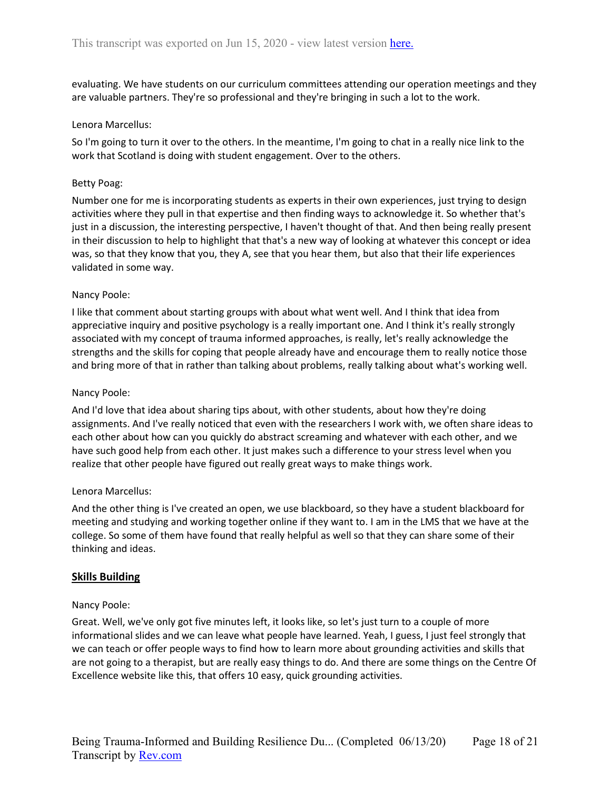evaluating. We have students on our curriculum committees attending our operation meetings and they are valuable partners. They're so professional and they're bringing in such a lot to the work.

## Lenora Marcellus:

So I'm going to turn it over to the others. In the meantime, I'm going to chat in a really nice link to the work that Scotland is doing with student engagement. Over to the others.

## Betty Poag:

Number one for me is incorporating students as experts in their own experiences, just trying to design activities where they pull in that expertise and then finding ways to acknowledge it. So whether that's just in a discussion, the interesting perspective, I haven't thought of that. And then being really present in their discussion to help to highlight that that's a new way of looking at whatever this concept or idea was, so that they know that you, they A, see that you hear them, but also that their life experiences validated in some way.

## Nancy Poole:

I like that comment about starting groups with about what went well. And I think that idea from appreciative inquiry and positive psychology is a really important one. And I think it's really strongly associated with my concept of trauma informed approaches, is really, let's really acknowledge the strengths and the skills for coping that people already have and encourage them to really notice those and bring more of that in rather than talking about problems, really talking about what's working well.

## Nancy Poole:

And I'd love that idea about sharing tips about, with other students, about how they're doing assignments. And I've really noticed that even with the researchers I work with, we often share ideas to each other about how can you quickly do abstract screaming and whatever with each other, and we have such good help from each other. It just makes such a difference to your stress level when you realize that other people have figured out really great ways to make things work.

#### Lenora Marcellus:

And the other thing is I've created an open, we use blackboard, so they have a student blackboard for meeting and studying and working together online if they want to. I am in the LMS that we have at the college. So some of them have found that really helpful as well so that they can share some of their thinking and ideas.

## **Skills Building**

#### Nancy Poole:

Great. Well, we've only got five minutes left, it looks like, so let's just turn to a couple of more informational slides and we can leave what people have learned. Yeah, I guess, I just feel strongly that we can teach or offer people ways to find how to learn more about grounding activities and skills that are not going to a therapist, but are really easy things to do. And there are some things on the Centre Of Excellence website like this, that offers 10 easy, quick grounding activities.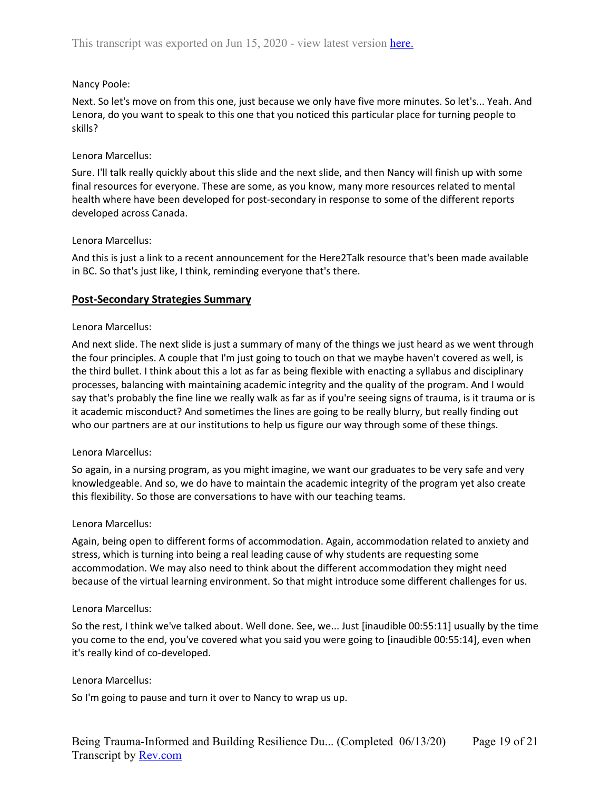## Nancy Poole:

Next. So let's move on from this one, just because we only have five more minutes. So let's... Yeah. And Lenora, do you want to speak to this one that you noticed this particular place for turning people to skills?

### Lenora Marcellus:

Sure. I'll talk really quickly about this slide and the next slide, and then Nancy will finish up with some final resources for everyone. These are some, as you know, many more resources related to mental health where have been developed for post-secondary in response to some of the different reports developed across Canada.

## Lenora Marcellus:

And this is just a link to a recent announcement for the Here2Talk resource that's been made available in BC. So that's just like, I think, reminding everyone that's there.

## **Post-Secondary Strategies Summary**

#### Lenora Marcellus:

And next slide. The next slide is just a summary of many of the things we just heard as we went through the four principles. A couple that I'm just going to touch on that we maybe haven't covered as well, is the third bullet. I think about this a lot as far as being flexible with enacting a syllabus and disciplinary processes, balancing with maintaining academic integrity and the quality of the program. And I would say that's probably the fine line we really walk as far as if you're seeing signs of trauma, is it trauma or is it academic misconduct? And sometimes the lines are going to be really blurry, but really finding out who our partners are at our institutions to help us figure our way through some of these things.

#### Lenora Marcellus:

So again, in a nursing program, as you might imagine, we want our graduates to be very safe and very knowledgeable. And so, we do have to maintain the academic integrity of the program yet also create this flexibility. So those are conversations to have with our teaching teams.

#### Lenora Marcellus:

Again, being open to different forms of accommodation. Again, accommodation related to anxiety and stress, which is turning into being a real leading cause of why students are requesting some accommodation. We may also need to think about the different accommodation they might need because of the virtual learning environment. So that might introduce some different challenges for us.

#### Lenora Marcellus:

So the rest, I think we've talked about. Well done. See, we... Just [inaudible 00:55:11] usually by the time you come to the end, you've covered what you said you were going to [inaudible 00:55:14], even when it's really kind of co-developed.

#### Lenora Marcellus:

So I'm going to pause and turn it over to Nancy to wrap us up.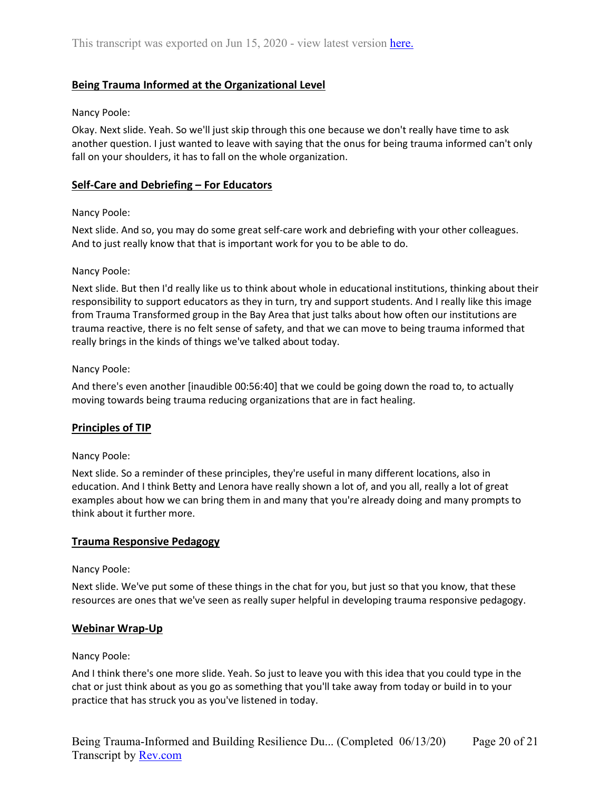# **Being Trauma Informed at the Organizational Level**

### Nancy Poole:

Okay. Next slide. Yeah. So we'll just skip through this one because we don't really have time to ask another question. I just wanted to leave with saying that the onus for being trauma informed can't only fall on your shoulders, it has to fall on the whole organization.

## **Self-Care and Debriefing – For Educators**

#### Nancy Poole:

Next slide. And so, you may do some great self-care work and debriefing with your other colleagues. And to just really know that that is important work for you to be able to do.

## Nancy Poole:

Next slide. But then I'd really like us to think about whole in educational institutions, thinking about their responsibility to support educators as they in turn, try and support students. And I really like this image from Trauma Transformed group in the Bay Area that just talks about how often our institutions are trauma reactive, there is no felt sense of safety, and that we can move to being trauma informed that really brings in the kinds of things we've talked about today.

## Nancy Poole:

And there's even another [inaudible 00:56:40] that we could be going down the road to, to actually moving towards being trauma reducing organizations that are in fact healing.

## **Principles of TIP**

## Nancy Poole:

Next slide. So a reminder of these principles, they're useful in many different locations, also in education. And I think Betty and Lenora have really shown a lot of, and you all, really a lot of great examples about how we can bring them in and many that you're already doing and many prompts to think about it further more.

#### **Trauma Responsive Pedagogy**

#### Nancy Poole:

Next slide. We've put some of these things in the chat for you, but just so that you know, that these resources are ones that we've seen as really super helpful in developing trauma responsive pedagogy.

## **Webinar Wrap-Up**

#### Nancy Poole:

And I think there's one more slide. Yeah. So just to leave you with this idea that you could type in the chat or just think about as you go as something that you'll take away from today or build in to your practice that has struck you as you've listened in today.